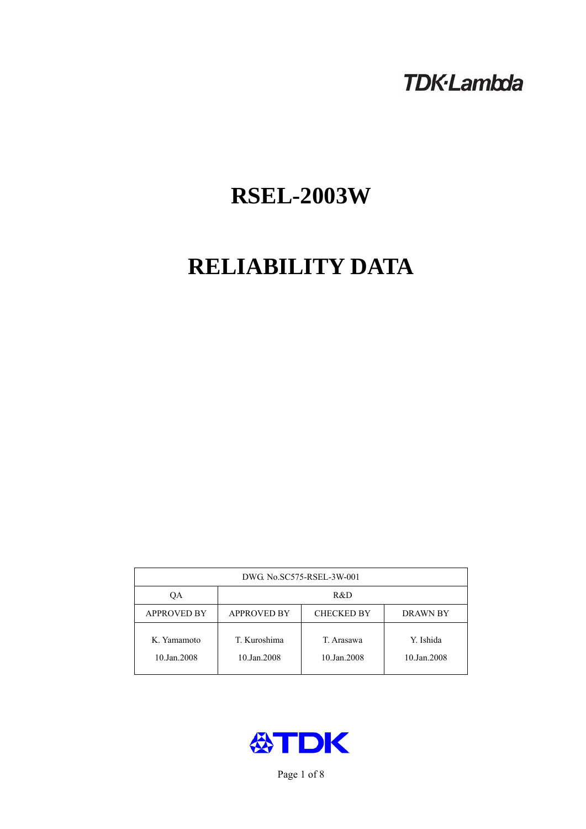# **TDK-Lambda**

# **RSEL-2003W**

# **RELIABILITY DATA**

| DWG. No.SC575-RSEL-3W-001  |                                                            |                           |                          |  |  |
|----------------------------|------------------------------------------------------------|---------------------------|--------------------------|--|--|
| ОA                         | R&D                                                        |                           |                          |  |  |
| <b>APPROVED BY</b>         | <b>APPROVED BY</b><br><b>CHECKED BY</b><br><b>DRAWN BY</b> |                           |                          |  |  |
| K. Yamamoto<br>10.Jan.2008 | T. Kuroshima<br>10.Jan.2008                                | T. Arasawa<br>10.Jan.2008 | Y. Ishida<br>10.Jan.2008 |  |  |



Page 1 of 8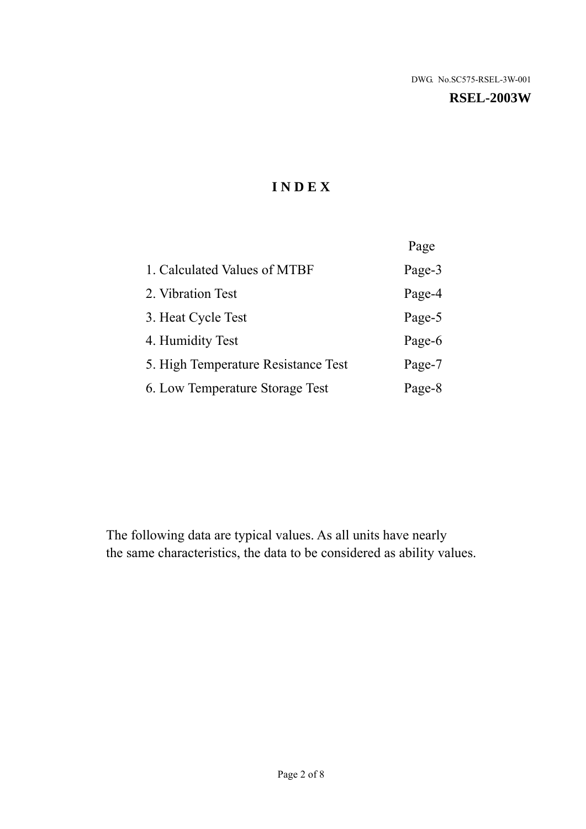#### **RSEL-2003W**

# **I N D E X**

|                                     | Page   |
|-------------------------------------|--------|
| 1. Calculated Values of MTBF        | Page-3 |
| 2. Vibration Test                   | Page-4 |
| 3. Heat Cycle Test                  | Page-5 |
| 4. Humidity Test                    | Page-6 |
| 5. High Temperature Resistance Test | Page-7 |
| 6. Low Temperature Storage Test     | Page-8 |

The following data are typical values. As all units have nearly the same characteristics, the data to be considered as ability values.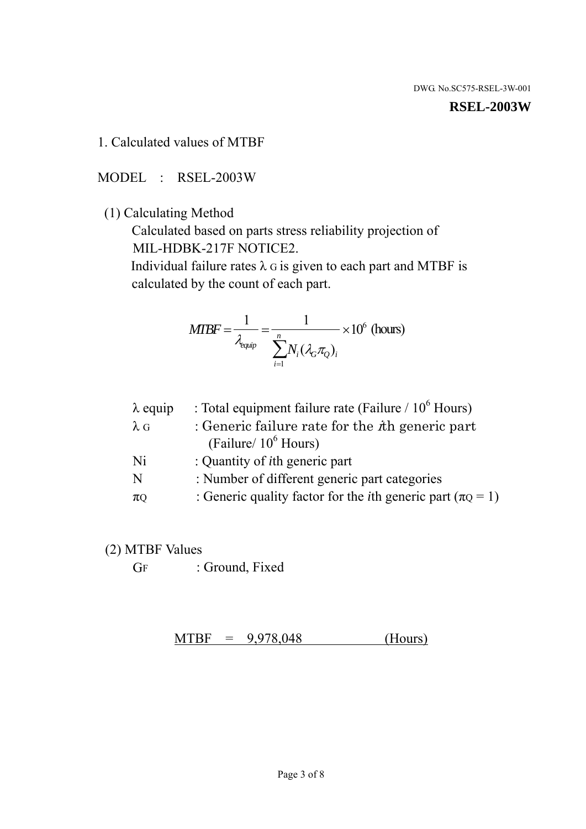#### **RSEL-2003W**

1. Calculated values of MTBF

MODEL : RSEL-2003W

(1) Calculating Method

 Calculated based on parts stress reliability projection of MIL-HDBK-217F NOTICE2.

Individual failure rates  $\lambda$  G is given to each part and MTBF is calculated by the count of each part.

$$
MIBF = \frac{1}{\lambda_{\text{equip}}} = \frac{1}{\sum_{i=1}^{n} N_i (\lambda_G \pi_Q)_i} \times 10^6 \text{ (hours)}
$$

| $\lambda$ equip | : Total equipment failure rate (Failure $/ 10^6$ Hours)                   |
|-----------------|---------------------------------------------------------------------------|
| $\lambda$ G     | : Generic failure rate for the $\hbar$ generic part                       |
|                 | (Failure/ $10^6$ Hours)                                                   |
| Ni              | : Quantity of <i>i</i> th generic part                                    |
| N               | : Number of different generic part categories                             |
| $\pi$ Q         | : Generic quality factor for the <i>i</i> th generic part ( $\pi Q = 1$ ) |

- (2) MTBF Values
	- GF : Ground, Fixed

 $MTBF = 9,978,048$  (Hours)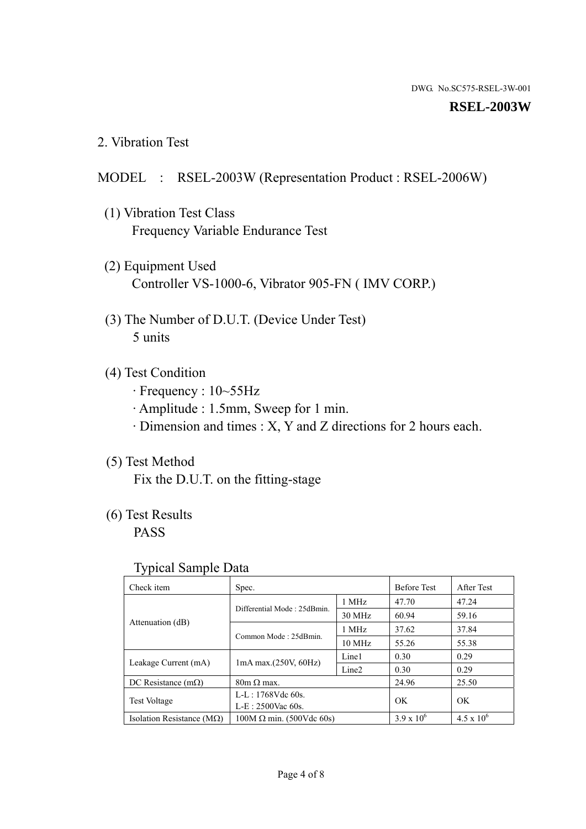#### **RSEL-2003W**

2. Vibration Test

## MODEL : RSEL-2003W (Representation Product : RSEL-2006W)

- (1) Vibration Test Class Frequency Variable Endurance Test
- (2) Equipment Used Controller VS-1000-6, Vibrator 905-FN ( IMV CORP.)
- (3) The Number of D.U.T. (Device Under Test) 5 units
- (4) Test Condition
	- · Frequency : 10~55Hz
	- · Amplitude : 1.5mm, Sweep for 1 min.
	- · Dimension and times : X, Y and Z directions for 2 hours each.

## (5) Test Method

Fix the D.U.T. on the fitting-stage

# (6) Test Results

PASS

#### Typical Sample Data

| . .                                |                                                         |                  |                     |                     |
|------------------------------------|---------------------------------------------------------|------------------|---------------------|---------------------|
| Check item                         | Spec.                                                   |                  | <b>Before Test</b>  | After Test          |
|                                    | Differential Mode: 25dBmin.                             | 1 MHz            | 47.70               | 47.24               |
|                                    |                                                         | 30 MHz           | 60.94               | 59.16               |
| Attenuation (dB)                   | Common Mode: 25dBmin.                                   | 1 MHz            | 37.62               | 37.84               |
|                                    |                                                         | $10 \text{ MHz}$ | 55.26               | 55.38               |
| Leakage Current (mA)               | Line1<br>$1mA$ max. $(250V, 60Hz)$<br>Line <sub>2</sub> |                  | 0.30                | 0.29                |
|                                    |                                                         | 0.30             | 0.29                |                     |
| DC Resistance $(m\Omega)$          | $80m \Omega$ max.                                       |                  | 24.96               | 25.50               |
| <b>Test Voltage</b>                | $L-L: 1768Vdc$ 60s.                                     |                  | OK                  | OK.                 |
|                                    | $L-E$ : 2500Vac 60s.                                    |                  |                     |                     |
| Isolation Resistance ( $M\Omega$ ) | $100M \Omega$ min. (500Vdc 60s)                         |                  | $3.9 \times 10^{6}$ | $4.5 \times 10^{6}$ |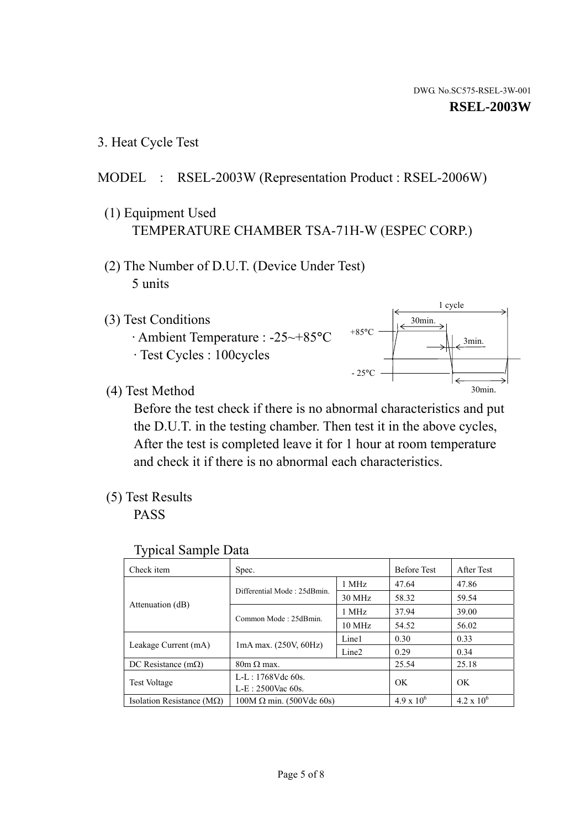1 cycle

30min.

3min.

30min.

3. Heat Cycle Test

# MODEL : RSEL-2003W (Representation Product : RSEL-2006W)

- (1) Equipment Used TEMPERATURE CHAMBER TSA-71H-W (ESPEC CORP.)
- (2) The Number of D.U.T. (Device Under Test) 5 units
- (3) Test Conditions
	- · Ambient Temperature : -25~+85°C · Test Cycles : 100cycles
- (4) Test Method

 Before the test check if there is no abnormal characteristics and put the D.U.T. in the testing chamber. Then test it in the above cycles, After the test is completed leave it for 1 hour at room temperature and check it if there is no abnormal each characteristics.

 $+85$ °C

 $-25^{\circ}$ C

(5) Test Results

PASS

| <b>Typical Sample Data</b> |  |  |
|----------------------------|--|--|
|----------------------------|--|--|

| Check item                         | Spec.                                                                                               |        | <b>Before Test</b> | After Test          |
|------------------------------------|-----------------------------------------------------------------------------------------------------|--------|--------------------|---------------------|
|                                    | Differential Mode: 25dBmin.                                                                         | 1 MHz  | 47.64              | 47.86               |
|                                    |                                                                                                     | 30 MHz | 58.32              | 59.54               |
| Attenuation (dB)                   | Common Mode: 25dBmin.                                                                               | 1 MHz  | 37.94              | 39.00               |
|                                    |                                                                                                     | 10 MHz | 54.52              | 56.02               |
|                                    | Line1<br>$1mA$ max. $(250V, 60Hz)$<br>Line <sub>2</sub><br>$80m \Omega$ max.<br>$L-L: 1768Vdc$ 60s. |        | 0.30               | 0.33                |
| Leakage Current (mA)               |                                                                                                     |        | 0.29               | 0.34                |
| DC Resistance $(m\Omega)$          |                                                                                                     |        | 25.54              | 25.18               |
| <b>Test Voltage</b>                |                                                                                                     |        | OK                 | OK                  |
|                                    | $L-E: 2500$ Vac 60s.                                                                                |        |                    |                     |
| Isolation Resistance ( $M\Omega$ ) | $100M \Omega$ min. (500Vdc 60s)                                                                     |        | $4.9 \times 10^6$  | $4.2 \times 10^{6}$ |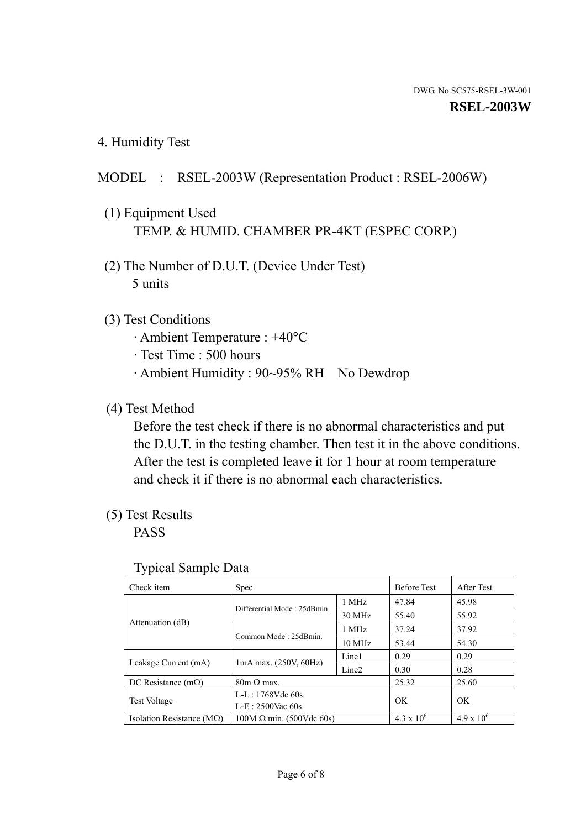4. Humidity Test

# MODEL : RSEL-2003W (Representation Product : RSEL-2006W)

- (1) Equipment Used TEMP. & HUMID. CHAMBER PR-4KT (ESPEC CORP.)
- (2) The Number of D.U.T. (Device Under Test) 5 units

## (3) Test Conditions

- · Ambient Temperature : +40°C
- · Test Time : 500 hours
- · Ambient Humidity : 90~95% RH No Dewdrop

# (4) Test Method

 Before the test check if there is no abnormal characteristics and put the D.U.T. in the testing chamber. Then test it in the above conditions. After the test is completed leave it for 1 hour at room temperature and check it if there is no abnormal each characteristics.

# (5) Test Results

PASS

| ╯┸                                 |                                                                                 |                  |                     |                     |
|------------------------------------|---------------------------------------------------------------------------------|------------------|---------------------|---------------------|
| Check item                         | Spec.                                                                           |                  | <b>Before Test</b>  | After Test          |
|                                    |                                                                                 | 1 MHz            | 47.84               | 45.98               |
|                                    | Differential Mode: 25dBmin.                                                     | 30 MHz           | 55.40               | 55.92               |
| Attenuation (dB)                   | Common Mode: 25dBmin.                                                           | 1 MHz            | 37.24               | 37.92               |
|                                    |                                                                                 | $10 \text{ MHz}$ | 53.44               | 54.30               |
|                                    | Line1<br>$1mA$ max. $(250V, 60Hz)$<br>Leakage Current (mA)<br>Line <sub>2</sub> |                  | 0.29                | 0.29                |
|                                    |                                                                                 |                  | 0.30                | 0.28                |
| DC Resistance $(m\Omega)$          | $80m \Omega$ max.                                                               |                  | 25.32               | 25.60               |
| <b>Test Voltage</b>                | $L-L: 1768Vdc$ 60s.                                                             |                  | OK                  | OK.                 |
|                                    | $L-E: 2500$ Vac 60s.                                                            |                  |                     |                     |
| Isolation Resistance ( $M\Omega$ ) | $100M \Omega$ min. (500Vdc 60s)                                                 |                  | $4.3 \times 10^{6}$ | $4.9 \times 10^{6}$ |

#### Typical Sample Data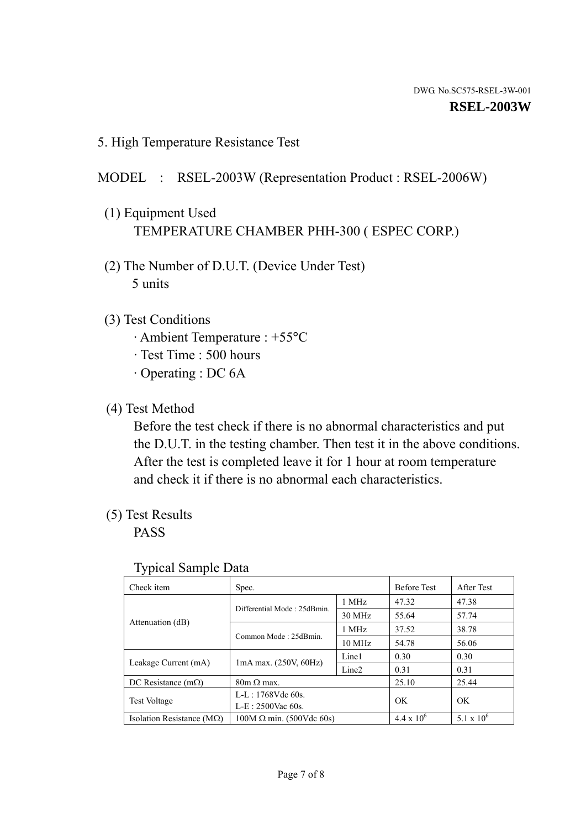5. High Temperature Resistance Test

### MODEL : RSEL-2003W (Representation Product : RSEL-2006W)

- (1) Equipment Used TEMPERATURE CHAMBER PHH-300 ( ESPEC CORP.)
- (2) The Number of D.U.T. (Device Under Test) 5 units
- (3) Test Conditions
	- · Ambient Temperature : +55°C
	- · Test Time : 500 hours
	- · Operating : DC 6A
- (4) Test Method

 Before the test check if there is no abnormal characteristics and put the D.U.T. in the testing chamber. Then test it in the above conditions. After the test is completed leave it for 1 hour at room temperature and check it if there is no abnormal each characteristics.

(5) Test Results

PASS

| ╯┸                                 |                                 |                   |                     |                     |
|------------------------------------|---------------------------------|-------------------|---------------------|---------------------|
| Check item                         | Spec.                           |                   | <b>Before Test</b>  | After Test          |
|                                    | Differential Mode: 25dBmin.     | 1 MHz             | 47.32               | 47.38               |
|                                    |                                 | 30 MHz            | 55.64               | 57.74               |
| Attenuation (dB)                   | Common Mode: 25dBmin.           | 1 MHz             | 37.52               | 38.78               |
|                                    |                                 | 10 MHz            | 54.78               | 56.06               |
| Leakage Current (mA)               | $1mA$ max. $(250V, 60Hz)$       | Line1             | 0.30                | 0.30                |
|                                    |                                 | Line <sub>2</sub> | 0.31                | 0.31                |
| DC Resistance $(m\Omega)$          | $80m \Omega$ max.               |                   | 25.10               | 25.44               |
| <b>Test Voltage</b>                | $L-L: 1768Vdc$ 60s.             |                   | OK                  | OK                  |
|                                    | $L-E: 2500$ Vac 60s.            |                   |                     |                     |
| Isolation Resistance ( $M\Omega$ ) | $100M \Omega$ min. (500Vdc 60s) |                   | $4.4 \times 10^{6}$ | $5.1 \times 10^{6}$ |

#### Typical Sample Data